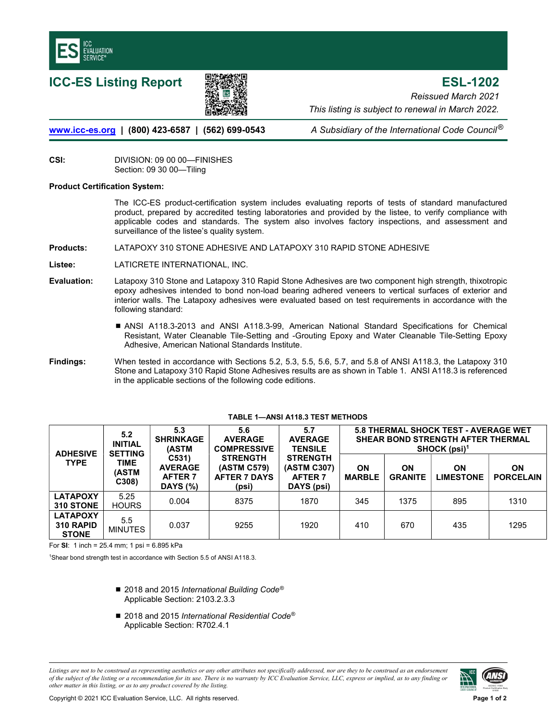



ICC-ES Listing Report ESL-1202 Reissued March 2021 This listing is subject to renewal in March 2022.

[www.icc-es.org](http://www.icc-es.org/) | (800) 423-6587 | (562) 699-0543 A Subsidiary of the International Code Council<sup>®</sup>

CSI: DIVISION: 09 00 00—FINISHES Section: 09 30 00—Tiling

# Product Certification System:

The ICC-ES product-certification system includes evaluating reports of tests of standard manufactured product, prepared by accredited testing laboratories and provided by the listee, to verify compliance with applicable codes and standards. The system also involves factory inspections, and assessment and surveillance of the listee's quality system.

### Products: LATAPOXY 310 STONE ADHESIVE AND LATAPOXY 310 RAPID STONE ADHESIVE

Listee: LATICRETE INTERNATIONAL, INC.

- Evaluation: Latapoxy 310 Stone and Latapoxy 310 Rapid Stone Adhesives are two component high strength, thixotropic epoxy adhesives intended to bond non-load bearing adhered veneers to vertical surfaces of exterior and interior walls. The Latapoxy adhesives were evaluated based on test requirements in accordance with the following standard:
	- ANSI A118.3-2013 and ANSI A118.3-99, American National Standard Specifications for Chemical Resistant, Water Cleanable Tile-Setting and -Grouting Epoxy and Water Cleanable Tile-Setting Epoxy Adhesive, American National Standards Institute.
- Findings: When tested in accordance with Sections 5.2, 5.3, 5.5, 5.6, 5.7, and 5.8 of ANSI A118.3, the Latapoxy 310 Stone and Latapoxy 310 Rapid Stone Adhesives results are as shown in Table 1. ANSI A118.3 is referenced in the applicable sections of the following code editions.

| <b>ADHESIVE</b><br><b>TYPE</b>               | 5.2<br><b>INITIAL</b><br><b>SETTING</b><br>TIME<br><b>(ASTM</b><br>C308 | 5.3<br><b>SHRINKAGE</b><br><b>(ASTM</b>                                 | 5.6<br><b>AVERAGE</b><br><b>COMPRESSIVE</b><br><b>STRENGTH</b><br>(ASTM C579)<br><b>AFTER 7 DAYS</b><br>(psi) | 5.7<br><b>AVERAGE</b><br><b>TENSILE</b><br><b>STRENGTH</b><br>(ASTM C307)<br><b>AFTER 7</b><br>DAYS (psi) | <b>5.8 THERMAL SHOCK TEST - AVERAGE WET</b><br><b>SHEAR BOND STRENGTH AFTER THERMAL</b><br>$SHOCK (psi)^1$ |                             |                               |                               |
|----------------------------------------------|-------------------------------------------------------------------------|-------------------------------------------------------------------------|---------------------------------------------------------------------------------------------------------------|-----------------------------------------------------------------------------------------------------------|------------------------------------------------------------------------------------------------------------|-----------------------------|-------------------------------|-------------------------------|
|                                              |                                                                         | C <sub>531</sub><br><b>AVERAGE</b><br><b>AFTER 7</b><br><b>DAYS</b> (%) |                                                                                                               |                                                                                                           | <b>ON</b><br><b>MARBLE</b>                                                                                 | <b>ON</b><br><b>GRANITE</b> | <b>ON</b><br><b>LIMESTONE</b> | <b>ON</b><br><b>PORCELAIN</b> |
| <b>LATAPOXY</b><br>310 STONE                 | 5.25<br><b>HOURS</b>                                                    | 0.004                                                                   | 8375                                                                                                          | 1870                                                                                                      | 345                                                                                                        | 1375                        | 895                           | 1310                          |
| <b>LATAPOXY</b><br>310 RAPID<br><b>STONE</b> | $5.5^{\circ}$<br><b>MINUTES</b>                                         | 0.037                                                                   | 9255                                                                                                          | 1920                                                                                                      | 410                                                                                                        | 670                         | 435                           | 1295                          |

#### TABLE 1—ANSI A118.3 TEST METHODS

For SI: 1 inch = 25.4 mm; 1 psi = 6.895 kPa

<sup>1</sup>Shear bond strength test in accordance with Section 5.5 of ANSI A118.3.

- 2018 and 2015 International Building Code<sup>®</sup> Applicable Section: 2103.2.3.3
- $\blacksquare$  2018 and 2015 International Residential Code<sup>®</sup> Applicable Section: R702.4.1

Listings are not to be construed as representing aesthetics or any other attributes not specifically addressed, nor are they to be construed as an endorsement of the subject of the listing or a recommendation for its use. There is no warranty by ICC Evaluation Service, LLC, express or implied, as to any finding or other matter in this listing, or as to any product covered by the listing.